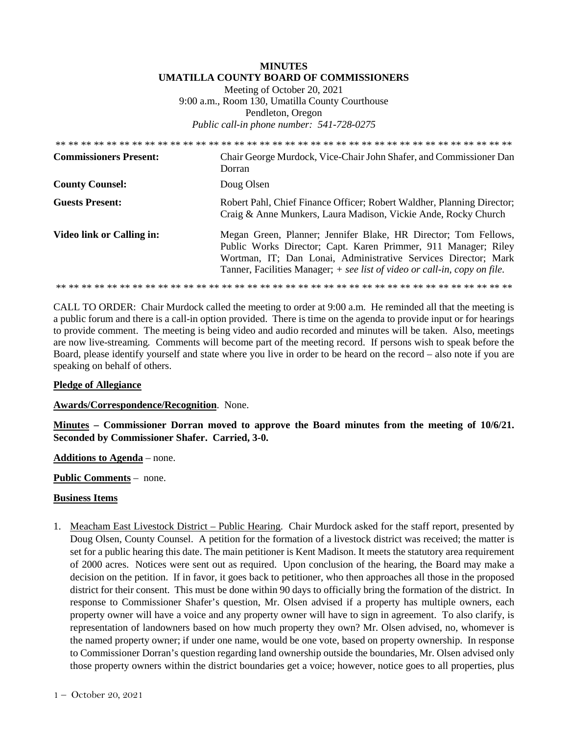## **MINUTES UMATILLA COUNTY BOARD OF COMMISSIONERS**

Meeting of October 20, 2021 9:00 a.m., Room 130, Umatilla County Courthouse Pendleton, Oregon *Public call-in phone number: 541-728-0275* 

| <b>Commissioners Present:</b> | Chair George Murdock, Vice-Chair John Shafer, and Commissioner Dan<br>Dorran                                                                                                                                                                                                     |
|-------------------------------|----------------------------------------------------------------------------------------------------------------------------------------------------------------------------------------------------------------------------------------------------------------------------------|
| <b>County Counsel:</b>        | Doug Olsen                                                                                                                                                                                                                                                                       |
| <b>Guests Present:</b>        | Robert Pahl, Chief Finance Officer; Robert Waldher, Planning Director;<br>Craig & Anne Munkers, Laura Madison, Vickie Ande, Rocky Church                                                                                                                                         |
| Video link or Calling in:     | Megan Green, Planner; Jennifer Blake, HR Director; Tom Fellows,<br>Public Works Director; Capt. Karen Primmer, 911 Manager; Riley<br>Wortman, IT; Dan Lonai, Administrative Services Director; Mark<br>Tanner, Facilities Manager; + see list of video or call-in, copy on file. |
|                               |                                                                                                                                                                                                                                                                                  |

CALL TO ORDER: Chair Murdock called the meeting to order at 9:00 a.m. He reminded all that the meeting is a public forum and there is a call-in option provided. There is time on the agenda to provide input or for hearings to provide comment. The meeting is being video and audio recorded and minutes will be taken. Also, meetings are now live-streaming*.* Comments will become part of the meeting record. If persons wish to speak before the Board, please identify yourself and state where you live in order to be heard on the record – also note if you are speaking on behalf of others.

### **Pledge of Allegiance**

**Awards/Correspondence/Recognition**. None.

**Minutes – Commissioner Dorran moved to approve the Board minutes from the meeting of 10/6/21. Seconded by Commissioner Shafer. Carried, 3-0.** 

**Additions to Agenda** – none.

**Public Comments** – none.

### **Business Items**

1. Meacham East Livestock District – Public Hearing. Chair Murdock asked for the staff report, presented by Doug Olsen, County Counsel. A petition for the formation of a livestock district was received; the matter is set for a public hearing this date. The main petitioner is Kent Madison. It meets the statutory area requirement of 2000 acres. Notices were sent out as required. Upon conclusion of the hearing, the Board may make a decision on the petition. If in favor, it goes back to petitioner, who then approaches all those in the proposed district for their consent. This must be done within 90 days to officially bring the formation of the district. In response to Commissioner Shafer's question, Mr. Olsen advised if a property has multiple owners, each property owner will have a voice and any property owner will have to sign in agreement. To also clarify, is representation of landowners based on how much property they own? Mr. Olsen advised, no, whomever is the named property owner; if under one name, would be one vote, based on property ownership. In response to Commissioner Dorran's question regarding land ownership outside the boundaries, Mr. Olsen advised only those property owners within the district boundaries get a voice; however, notice goes to all properties, plus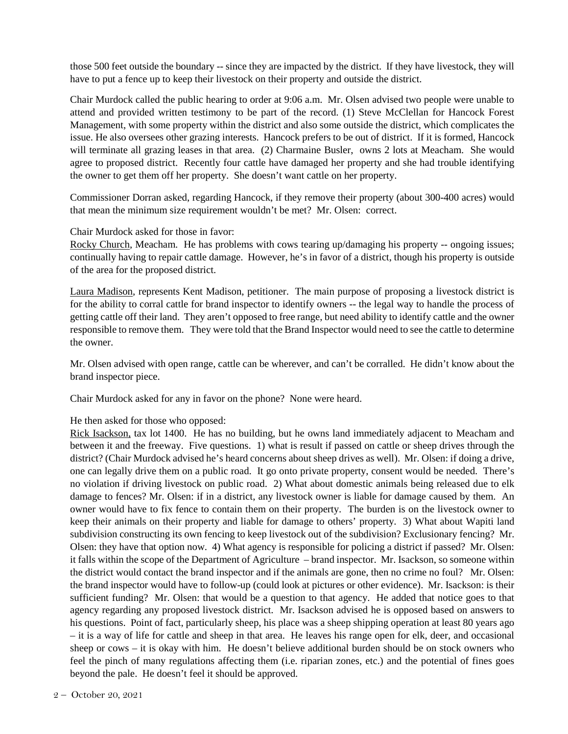those 500 feet outside the boundary -- since they are impacted by the district. If they have livestock, they will have to put a fence up to keep their livestock on their property and outside the district.

Chair Murdock called the public hearing to order at 9:06 a.m. Mr. Olsen advised two people were unable to attend and provided written testimony to be part of the record. (1) Steve McClellan for Hancock Forest Management, with some property within the district and also some outside the district, which complicates the issue. He also oversees other grazing interests. Hancock prefers to be out of district. If it is formed, Hancock will terminate all grazing leases in that area. (2) Charmaine Busler, owns 2 lots at Meacham. She would agree to proposed district. Recently four cattle have damaged her property and she had trouble identifying the owner to get them off her property. She doesn't want cattle on her property.

Commissioner Dorran asked, regarding Hancock, if they remove their property (about 300-400 acres) would that mean the minimum size requirement wouldn't be met? Mr. Olsen: correct.

### Chair Murdock asked for those in favor:

Rocky Church, Meacham. He has problems with cows tearing up/damaging his property -- ongoing issues; continually having to repair cattle damage. However, he's in favor of a district, though his property is outside of the area for the proposed district.

Laura Madison, represents Kent Madison, petitioner. The main purpose of proposing a livestock district is for the ability to corral cattle for brand inspector to identify owners -- the legal way to handle the process of getting cattle off their land. They aren't opposed to free range, but need ability to identify cattle and the owner responsible to remove them. They were told that the Brand Inspector would need to see the cattle to determine the owner.

Mr. Olsen advised with open range, cattle can be wherever, and can't be corralled. He didn't know about the brand inspector piece.

Chair Murdock asked for any in favor on the phone? None were heard.

### He then asked for those who opposed:

Rick Isackson, tax lot 1400. He has no building, but he owns land immediately adjacent to Meacham and between it and the freeway. Five questions. 1) what is result if passed on cattle or sheep drives through the district? (Chair Murdock advised he's heard concerns about sheep drives as well). Mr. Olsen: if doing a drive, one can legally drive them on a public road. It go onto private property, consent would be needed. There's no violation if driving livestock on public road. 2) What about domestic animals being released due to elk damage to fences? Mr. Olsen: if in a district, any livestock owner is liable for damage caused by them. An owner would have to fix fence to contain them on their property. The burden is on the livestock owner to keep their animals on their property and liable for damage to others' property. 3) What about Wapiti land subdivision constructing its own fencing to keep livestock out of the subdivision? Exclusionary fencing? Mr. Olsen: they have that option now. 4) What agency is responsible for policing a district if passed? Mr. Olsen: it falls within the scope of the Department of Agriculture – brand inspector. Mr. Isackson, so someone within the district would contact the brand inspector and if the animals are gone, then no crime no foul? Mr. Olsen: the brand inspector would have to follow-up (could look at pictures or other evidence). Mr. Isackson: is their sufficient funding? Mr. Olsen: that would be a question to that agency. He added that notice goes to that agency regarding any proposed livestock district. Mr. Isackson advised he is opposed based on answers to his questions. Point of fact, particularly sheep, his place was a sheep shipping operation at least 80 years ago – it is a way of life for cattle and sheep in that area. He leaves his range open for elk, deer, and occasional sheep or cows – it is okay with him. He doesn't believe additional burden should be on stock owners who feel the pinch of many regulations affecting them (i.e. riparian zones, etc.) and the potential of fines goes beyond the pale. He doesn't feel it should be approved.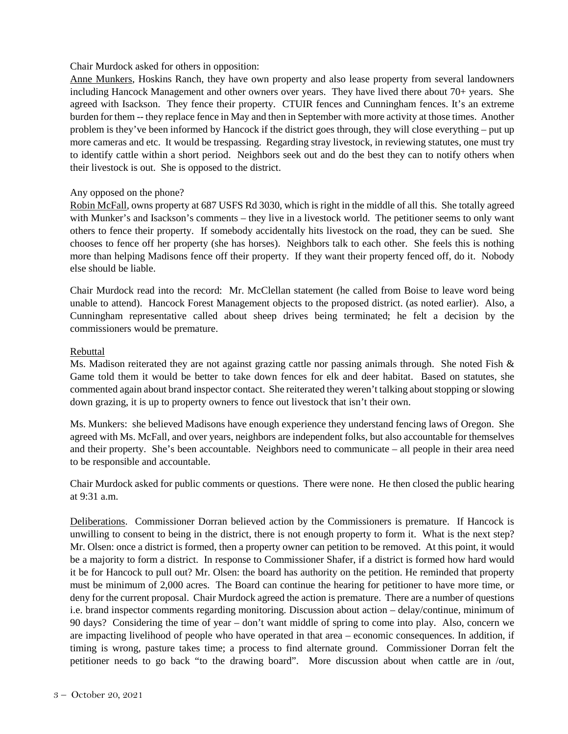# Chair Murdock asked for others in opposition:

Anne Munkers, Hoskins Ranch, they have own property and also lease property from several landowners including Hancock Management and other owners over years. They have lived there about 70+ years. She agreed with Isackson. They fence their property. CTUIR fences and Cunningham fences. It's an extreme burden for them -- they replace fence in May and then in September with more activity at those times. Another problem is they've been informed by Hancock if the district goes through, they will close everything – put up more cameras and etc. It would be trespassing. Regarding stray livestock, in reviewing statutes, one must try to identify cattle within a short period. Neighbors seek out and do the best they can to notify others when their livestock is out. She is opposed to the district.

### Any opposed on the phone?

Robin McFall, owns property at 687 USFS Rd 3030, which is right in the middle of all this. She totally agreed with Munker's and Isackson's comments – they live in a livestock world. The petitioner seems to only want others to fence their property. If somebody accidentally hits livestock on the road, they can be sued. She chooses to fence off her property (she has horses). Neighbors talk to each other. She feels this is nothing more than helping Madisons fence off their property. If they want their property fenced off, do it. Nobody else should be liable.

Chair Murdock read into the record: Mr. McClellan statement (he called from Boise to leave word being unable to attend). Hancock Forest Management objects to the proposed district. (as noted earlier). Also, a Cunningham representative called about sheep drives being terminated; he felt a decision by the commissioners would be premature.

# Rebuttal

Ms. Madison reiterated they are not against grazing cattle nor passing animals through. She noted Fish & Game told them it would be better to take down fences for elk and deer habitat. Based on statutes, she commented again about brand inspector contact. She reiterated they weren't talking about stopping or slowing down grazing, it is up to property owners to fence out livestock that isn't their own.

Ms. Munkers: she believed Madisons have enough experience they understand fencing laws of Oregon. She agreed with Ms. McFall, and over years, neighbors are independent folks, but also accountable for themselves and their property. She's been accountable. Neighbors need to communicate – all people in their area need to be responsible and accountable.

Chair Murdock asked for public comments or questions. There were none. He then closed the public hearing at 9:31 a.m.

Deliberations. Commissioner Dorran believed action by the Commissioners is premature. If Hancock is unwilling to consent to being in the district, there is not enough property to form it. What is the next step? Mr. Olsen: once a district is formed, then a property owner can petition to be removed. At this point, it would be a majority to form a district. In response to Commissioner Shafer, if a district is formed how hard would it be for Hancock to pull out? Mr. Olsen: the board has authority on the petition. He reminded that property must be minimum of 2,000 acres. The Board can continue the hearing for petitioner to have more time, or deny for the current proposal. Chair Murdock agreed the action is premature. There are a number of questions i.e. brand inspector comments regarding monitoring. Discussion about action – delay/continue, minimum of 90 days? Considering the time of year – don't want middle of spring to come into play. Also, concern we are impacting livelihood of people who have operated in that area – economic consequences. In addition, if timing is wrong, pasture takes time; a process to find alternate ground. Commissioner Dorran felt the petitioner needs to go back "to the drawing board". More discussion about when cattle are in /out,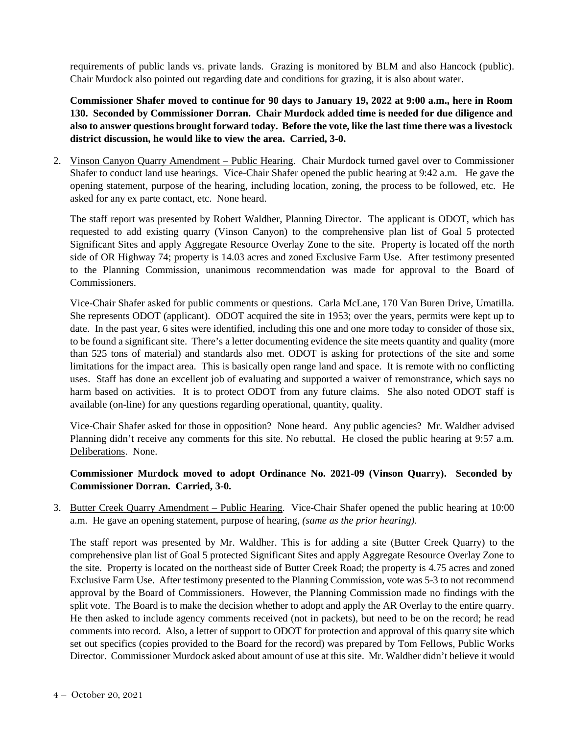requirements of public lands vs. private lands. Grazing is monitored by BLM and also Hancock (public). Chair Murdock also pointed out regarding date and conditions for grazing, it is also about water.

**Commissioner Shafer moved to continue for 90 days to January 19, 2022 at 9:00 a.m., here in Room 130. Seconded by Commissioner Dorran. Chair Murdock added time is needed for due diligence and also to answer questions brought forward today. Before the vote, like the last time there was a livestock district discussion, he would like to view the area. Carried, 3-0.**

2. Vinson Canyon Quarry Amendment – Public Hearing. Chair Murdock turned gavel over to Commissioner Shafer to conduct land use hearings. Vice-Chair Shafer opened the public hearing at 9:42 a.m. He gave the opening statement, purpose of the hearing, including location, zoning, the process to be followed, etc. He asked for any ex parte contact, etc. None heard.

The staff report was presented by Robert Waldher, Planning Director. The applicant is ODOT, which has requested to add existing quarry (Vinson Canyon) to the comprehensive plan list of Goal 5 protected Significant Sites and apply Aggregate Resource Overlay Zone to the site. Property is located off the north side of OR Highway 74; property is 14.03 acres and zoned Exclusive Farm Use. After testimony presented to the Planning Commission, unanimous recommendation was made for approval to the Board of Commissioners.

Vice-Chair Shafer asked for public comments or questions. Carla McLane, 170 Van Buren Drive, Umatilla. She represents ODOT (applicant). ODOT acquired the site in 1953; over the years, permits were kept up to date. In the past year, 6 sites were identified, including this one and one more today to consider of those six, to be found a significant site. There's a letter documenting evidence the site meets quantity and quality (more than 525 tons of material) and standards also met. ODOT is asking for protections of the site and some limitations for the impact area. This is basically open range land and space. It is remote with no conflicting uses. Staff has done an excellent job of evaluating and supported a waiver of remonstrance, which says no harm based on activities. It is to protect ODOT from any future claims. She also noted ODOT staff is available (on-line) for any questions regarding operational, quantity, quality.

Vice-Chair Shafer asked for those in opposition? None heard. Any public agencies? Mr. Waldher advised Planning didn't receive any comments for this site. No rebuttal. He closed the public hearing at 9:57 a.m. Deliberations. None.

# **Commissioner Murdock moved to adopt Ordinance No. 2021-09 (Vinson Quarry). Seconded by Commissioner Dorran. Carried, 3-0.**

3. Butter Creek Quarry Amendment – Public Hearing. Vice-Chair Shafer opened the public hearing at 10:00 a.m. He gave an opening statement, purpose of hearing, *(same as the prior hearing).* 

The staff report was presented by Mr. Waldher. This is for adding a site (Butter Creek Quarry) to the comprehensive plan list of Goal 5 protected Significant Sites and apply Aggregate Resource Overlay Zone to the site. Property is located on the northeast side of Butter Creek Road; the property is 4.75 acres and zoned Exclusive Farm Use. After testimony presented to the Planning Commission, vote was 5-3 to not recommend approval by the Board of Commissioners. However, the Planning Commission made no findings with the split vote. The Board is to make the decision whether to adopt and apply the AR Overlay to the entire quarry. He then asked to include agency comments received (not in packets), but need to be on the record; he read comments into record. Also, a letter of support to ODOT for protection and approval of this quarry site which set out specifics (copies provided to the Board for the record) was prepared by Tom Fellows, Public Works Director. Commissioner Murdock asked about amount of use at this site. Mr. Waldher didn't believe it would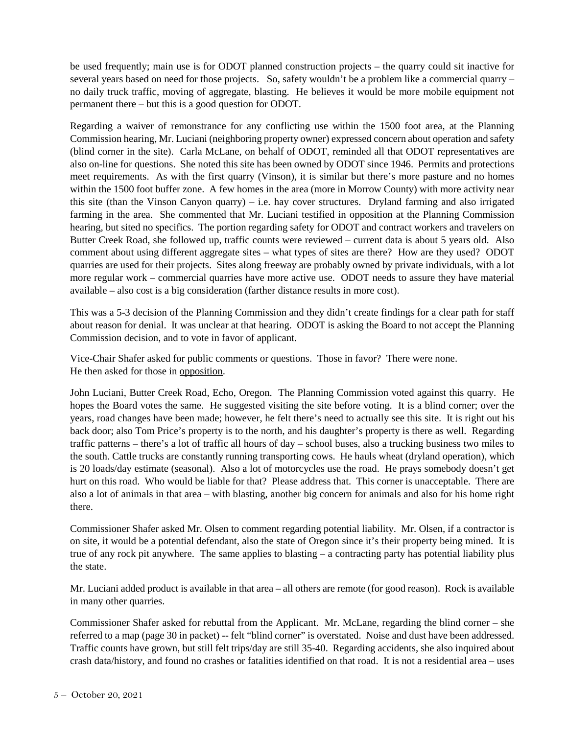be used frequently; main use is for ODOT planned construction projects – the quarry could sit inactive for several years based on need for those projects. So, safety wouldn't be a problem like a commercial quarry – no daily truck traffic, moving of aggregate, blasting. He believes it would be more mobile equipment not permanent there – but this is a good question for ODOT.

Regarding a waiver of remonstrance for any conflicting use within the 1500 foot area, at the Planning Commission hearing, Mr. Luciani (neighboring property owner) expressed concern about operation and safety (blind corner in the site). Carla McLane, on behalf of ODOT, reminded all that ODOT representatives are also on-line for questions. She noted this site has been owned by ODOT since 1946. Permits and protections meet requirements. As with the first quarry (Vinson), it is similar but there's more pasture and no homes within the 1500 foot buffer zone. A few homes in the area (more in Morrow County) with more activity near this site (than the Vinson Canyon quarry) – i.e. hay cover structures. Dryland farming and also irrigated farming in the area. She commented that Mr. Luciani testified in opposition at the Planning Commission hearing, but sited no specifics. The portion regarding safety for ODOT and contract workers and travelers on Butter Creek Road, she followed up, traffic counts were reviewed – current data is about 5 years old. Also comment about using different aggregate sites – what types of sites are there? How are they used? ODOT quarries are used for their projects. Sites along freeway are probably owned by private individuals, with a lot more regular work – commercial quarries have more active use. ODOT needs to assure they have material available – also cost is a big consideration (farther distance results in more cost).

This was a 5-3 decision of the Planning Commission and they didn't create findings for a clear path for staff about reason for denial. It was unclear at that hearing. ODOT is asking the Board to not accept the Planning Commission decision, and to vote in favor of applicant.

Vice-Chair Shafer asked for public comments or questions. Those in favor? There were none. He then asked for those in opposition.

John Luciani, Butter Creek Road, Echo, Oregon. The Planning Commission voted against this quarry. He hopes the Board votes the same. He suggested visiting the site before voting. It is a blind corner; over the years, road changes have been made; however, he felt there's need to actually see this site. It is right out his back door; also Tom Price's property is to the north, and his daughter's property is there as well. Regarding traffic patterns – there's a lot of traffic all hours of day – school buses, also a trucking business two miles to the south. Cattle trucks are constantly running transporting cows. He hauls wheat (dryland operation), which is 20 loads/day estimate (seasonal). Also a lot of motorcycles use the road. He prays somebody doesn't get hurt on this road. Who would be liable for that? Please address that. This corner is unacceptable. There are also a lot of animals in that area – with blasting, another big concern for animals and also for his home right there.

Commissioner Shafer asked Mr. Olsen to comment regarding potential liability. Mr. Olsen, if a contractor is on site, it would be a potential defendant, also the state of Oregon since it's their property being mined. It is true of any rock pit anywhere. The same applies to blasting – a contracting party has potential liability plus the state.

Mr. Luciani added product is available in that area – all others are remote (for good reason). Rock is available in many other quarries.

Commissioner Shafer asked for rebuttal from the Applicant. Mr. McLane, regarding the blind corner – she referred to a map (page 30 in packet) -- felt "blind corner" is overstated. Noise and dust have been addressed. Traffic counts have grown, but still felt trips/day are still 35-40. Regarding accidents, she also inquired about crash data/history, and found no crashes or fatalities identified on that road. It is not a residential area – uses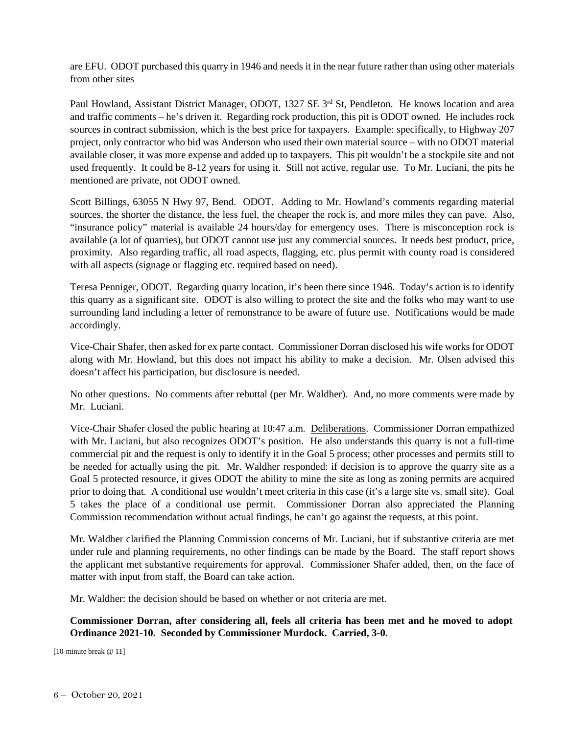are EFU. ODOT purchased this quarry in 1946 and needs it in the near future rather than using other materials from other sites

Paul Howland, Assistant District Manager, ODOT, 1327 SE 3<sup>rd</sup> St, Pendleton. He knows location and area and traffic comments – he's driven it. Regarding rock production, this pit is ODOT owned. He includes rock sources in contract submission, which is the best price for taxpayers. Example: specifically, to Highway 207 project, only contractor who bid was Anderson who used their own material source – with no ODOT material available closer, it was more expense and added up to taxpayers. This pit wouldn't be a stockpile site and not used frequently. It could be 8-12 years for using it. Still not active, regular use. To Mr. Luciani, the pits he mentioned are private, not ODOT owned.

Scott Billings, 63055 N Hwy 97, Bend. ODOT. Adding to Mr. Howland's comments regarding material sources, the shorter the distance, the less fuel, the cheaper the rock is, and more miles they can pave. Also, "insurance policy" material is available 24 hours/day for emergency uses. There is misconception rock is available (a lot of quarries), but ODOT cannot use just any commercial sources. It needs best product, price, proximity. Also regarding traffic, all road aspects, flagging, etc. plus permit with county road is considered with all aspects (signage or flagging etc. required based on need).

Teresa Penniger, ODOT. Regarding quarry location, it's been there since 1946. Today's action is to identify this quarry as a significant site. ODOT is also willing to protect the site and the folks who may want to use surrounding land including a letter of remonstrance to be aware of future use. Notifications would be made accordingly.

Vice-Chair Shafer, then asked for ex parte contact. Commissioner Dorran disclosed his wife works for ODOT along with Mr. Howland, but this does not impact his ability to make a decision. Mr. Olsen advised this doesn't affect his participation, but disclosure is needed.

No other questions. No comments after rebuttal (per Mr. Waldher). And, no more comments were made by Mr. Luciani.

Vice-Chair Shafer closed the public hearing at 10:47 a.m. Deliberations. Commissioner Dorran empathized with Mr. Luciani, but also recognizes ODOT's position. He also understands this quarry is not a full-time commercial pit and the request is only to identify it in the Goal 5 process; other processes and permits still to be needed for actually using the pit. Mr. Waldher responded: if decision is to approve the quarry site as a Goal 5 protected resource, it gives ODOT the ability to mine the site as long as zoning permits are acquired prior to doing that. A conditional use wouldn't meet criteria in this case (it's a large site vs. small site). Goal 5 takes the place of a conditional use permit. Commissioner Dorran also appreciated the Planning Commission recommendation without actual findings, he can't go against the requests, at this point.

Mr. Waldher clarified the Planning Commission concerns of Mr. Luciani, but if substantive criteria are met under rule and planning requirements, no other findings can be made by the Board. The staff report shows the applicant met substantive requirements for approval. Commissioner Shafer added, then, on the face of matter with input from staff, the Board can take action.

Mr. Waldher: the decision should be based on whether or not criteria are met.

# **Commissioner Dorran, after considering all, feels all criteria has been met and he moved to adopt Ordinance 2021-10. Seconded by Commissioner Murdock. Carried, 3-0.**

[10-minute break @ 11]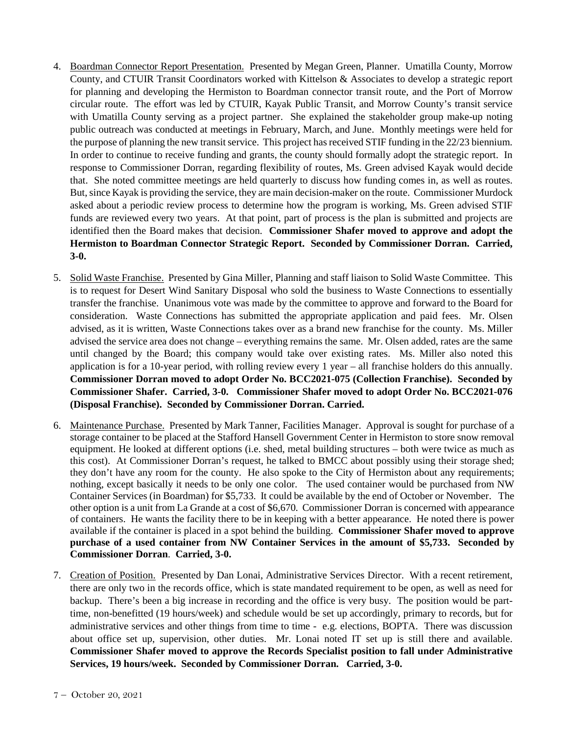- 4. Boardman Connector Report Presentation. Presented by Megan Green, Planner. Umatilla County, Morrow County, and CTUIR Transit Coordinators worked with Kittelson & Associates to develop a strategic report for planning and developing the Hermiston to Boardman connector transit route, and the Port of Morrow circular route. The effort was led by CTUIR, Kayak Public Transit, and Morrow County's transit service with Umatilla County serving as a project partner. She explained the stakeholder group make-up noting public outreach was conducted at meetings in February, March, and June. Monthly meetings were held for the purpose of planning the new transit service. This project has received STIF funding in the 22/23 biennium. In order to continue to receive funding and grants, the county should formally adopt the strategic report. In response to Commissioner Dorran, regarding flexibility of routes, Ms. Green advised Kayak would decide that. She noted committee meetings are held quarterly to discuss how funding comes in, as well as routes. But, since Kayak is providing the service, they are main decision-maker on the route. Commissioner Murdock asked about a periodic review process to determine how the program is working, Ms. Green advised STIF funds are reviewed every two years. At that point, part of process is the plan is submitted and projects are identified then the Board makes that decision. **Commissioner Shafer moved to approve and adopt the Hermiston to Boardman Connector Strategic Report. Seconded by Commissioner Dorran. Carried, 3-0.**
- 5. Solid Waste Franchise. Presented by Gina Miller, Planning and staff liaison to Solid Waste Committee. This is to request for Desert Wind Sanitary Disposal who sold the business to Waste Connections to essentially transfer the franchise. Unanimous vote was made by the committee to approve and forward to the Board for consideration. Waste Connections has submitted the appropriate application and paid fees. Mr. Olsen advised, as it is written, Waste Connections takes over as a brand new franchise for the county. Ms. Miller advised the service area does not change – everything remains the same. Mr. Olsen added, rates are the same until changed by the Board; this company would take over existing rates. Ms. Miller also noted this application is for a 10-year period, with rolling review every 1 year – all franchise holders do this annually. **Commissioner Dorran moved to adopt Order No. BCC2021-075 (Collection Franchise). Seconded by Commissioner Shafer. Carried, 3-0. Commissioner Shafer moved to adopt Order No. BCC2021-076 (Disposal Franchise). Seconded by Commissioner Dorran. Carried.**
- 6. Maintenance Purchase. Presented by Mark Tanner, Facilities Manager. Approval is sought for purchase of a storage container to be placed at the Stafford Hansell Government Center in Hermiston to store snow removal equipment. He looked at different options (i.e. shed, metal building structures – both were twice as much as this cost). At Commissioner Dorran's request, he talked to BMCC about possibly using their storage shed; they don't have any room for the county. He also spoke to the City of Hermiston about any requirements; nothing, except basically it needs to be only one color. The used container would be purchased from NW Container Services (in Boardman) for \$5,733. It could be available by the end of October or November. The other option is a unit from La Grande at a cost of \$6,670. Commissioner Dorran is concerned with appearance of containers. He wants the facility there to be in keeping with a better appearance. He noted there is power available if the container is placed in a spot behind the building. **Commissioner Shafer moved to approve purchase of a used container from NW Container Services in the amount of \$5,733. Seconded by Commissioner Dorran**. **Carried, 3-0.**
- 7. Creation of Position. Presented by Dan Lonai, Administrative Services Director. With a recent retirement, there are only two in the records office, which is state mandated requirement to be open, as well as need for backup. There's been a big increase in recording and the office is very busy. The position would be parttime, non-benefitted (19 hours/week) and schedule would be set up accordingly, primary to records, but for administrative services and other things from time to time - e.g. elections, BOPTA. There was discussion about office set up, supervision, other duties. Mr. Lonai noted IT set up is still there and available. **Commissioner Shafer moved to approve the Records Specialist position to fall under Administrative Services, 19 hours/week. Seconded by Commissioner Dorran. Carried, 3-0.**